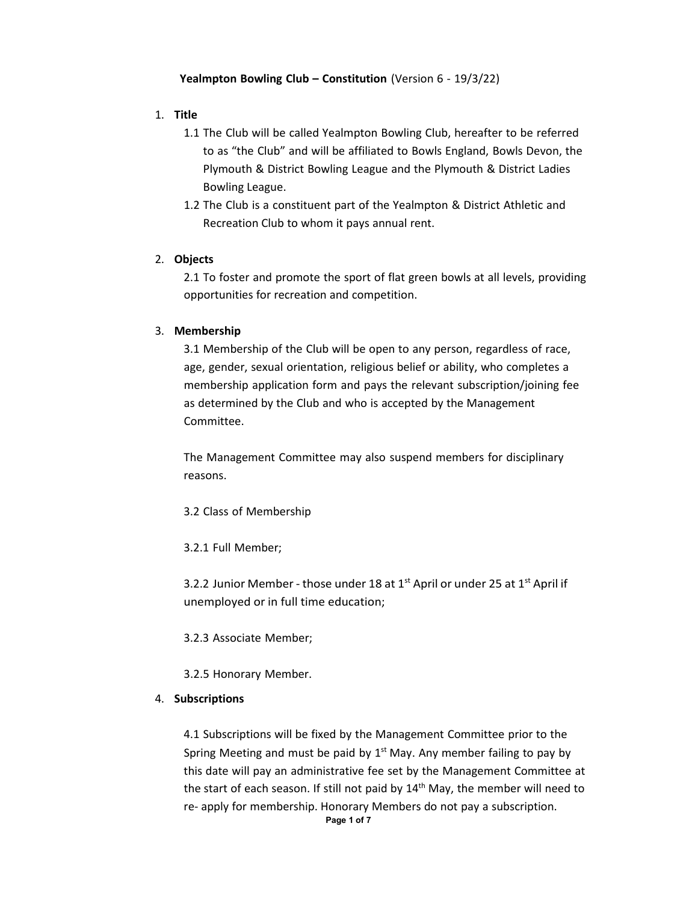### **Yealmpton Bowling Club – Constitution** (Version 6 - 19/3/22)

### 1. **Title**

- 1.1 The Club will be called Yealmpton Bowling Club, hereafter to be referred to as "the Club" and will be affiliated to Bowls England, Bowls Devon, the Plymouth & District Bowling League and the Plymouth & District Ladies Bowling League.
- 1.2 The Club is a constituent part of the Yealmpton & District Athletic and Recreation Club to whom it pays annual rent.

#### 2. **Objects**

2.1 To foster and promote the sport of flat green bowls at all levels, providing opportunities for recreation and competition.

#### 3. **Membership**

3.1 Membership of the Club will be open to any person, regardless of race, age, gender, sexual orientation, religious belief or ability, who completes a membership application form and pays the relevant subscription/joining fee as determined by the Club and who is accepted by the Management Committee.

The Management Committee may also suspend members for disciplinary reasons.

- 3.2 Class of Membership
- 3.2.1 Full Member;

3.2.2 Junior Member - those under 18 at  $1<sup>st</sup>$  April or under 25 at  $1<sup>st</sup>$  April if unemployed or in full time education;

3.2.3 Associate Member;

3.2.5 Honorary Member.

#### 4. **Subscriptions**

4.1 Subscriptions will be fixed by the Management Committee prior to the Spring Meeting and must be paid by  $1<sup>st</sup>$  May. Any member failing to pay by this date will pay an administrative fee set by the Management Committee at the start of each season. If still not paid by  $14<sup>th</sup>$  May, the member will need to re- apply for membership. Honorary Members do not pay a subscription.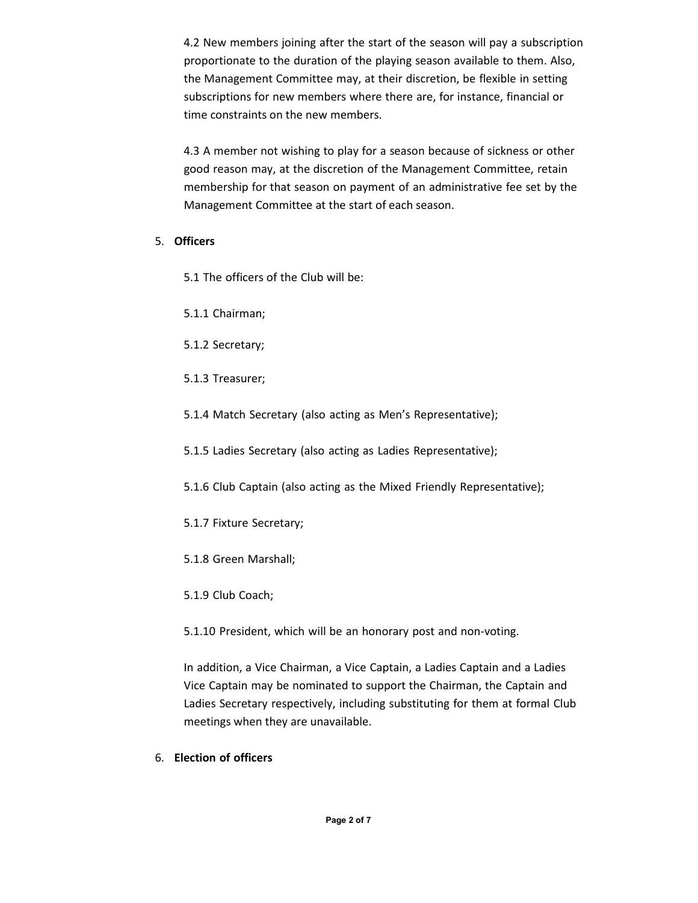4.2 New members joining after the start of the season will pay a subscription proportionate to the duration of the playing season available to them. Also, the Management Committee may, at their discretion, be flexible in setting subscriptions for new members where there are, for instance, financial or time constraints on the new members.

4.3 A member not wishing to play for a season because of sickness or other good reason may, at the discretion of the Management Committee, retain membership for that season on payment of an administrative fee set by the Management Committee at the start of each season.

# 5. **Officers**

5.1 The officers of the Club will be:

- 5.1.1 Chairman;
- 5.1.2 Secretary;
- 5.1.3 Treasurer;
- 5.1.4 Match Secretary (also acting as Men's Representative);
- 5.1.5 Ladies Secretary (also acting as Ladies Representative);
- 5.1.6 Club Captain (also acting as the Mixed Friendly Representative);
- 5.1.7 Fixture Secretary;
- 5.1.8 Green Marshall;
- 5.1.9 Club Coach;
- 5.1.10 President, which will be an honorary post and non-voting.

In addition, a Vice Chairman, a Vice Captain, a Ladies Captain and a Ladies Vice Captain may be nominated to support the Chairman, the Captain and Ladies Secretary respectively, including substituting for them at formal Club meetings when they are unavailable.

6. **Election of officers**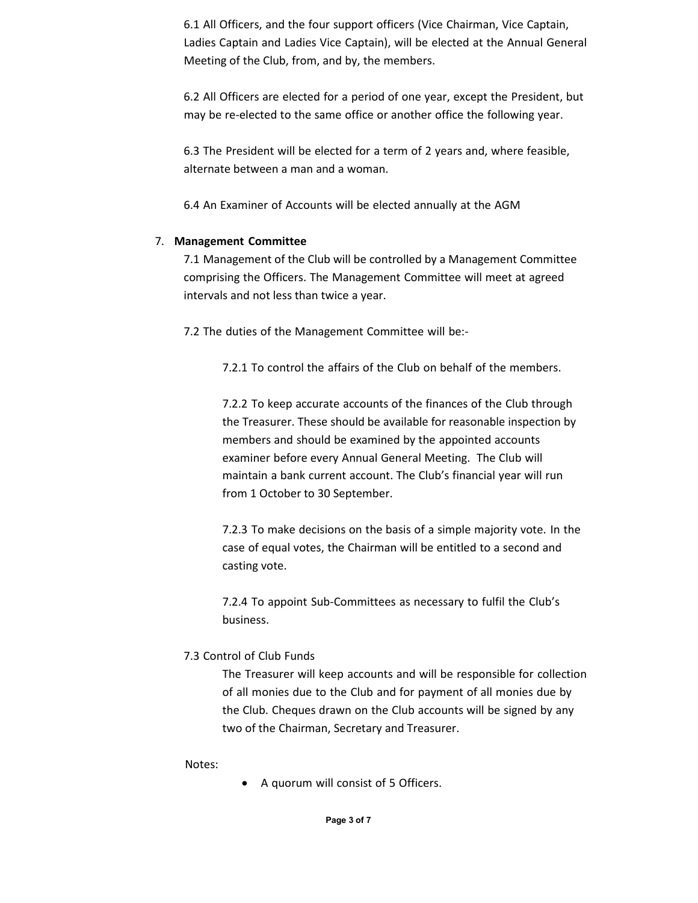6.1 All Officers, and the four support officers (Vice Chairman, Vice Captain, Ladies Captain and Ladies Vice Captain), will be elected at the Annual General Meeting of the Club, from, and by, the members.

6.2 All Officers are elected for a period of one year, except the President, but may be re-elected to the same office or another office the following year.

6.3 The President will be elected for a term of 2 years and, where feasible, alternate between a man and a woman.

6.4 An Examiner of Accounts will be elected annually at the AGM

# 7. **Management Committee**

7.1 Management of the Club will be controlled by a Management Committee comprising the Officers. The Management Committee will meet at agreed intervals and not less than twice a year.

7.2 The duties of the Management Committee will be:-

7.2.1 To control the affairs of the Club on behalf of the members.

7.2.2 To keep accurate accounts of the finances of the Club through the Treasurer. These should be available for reasonable inspection by members and should be examined by the appointed accounts examiner before every Annual General Meeting. The Club will maintain a bank current account. The Club's financial year will run from 1 October to 30 September.

7.2.3 To make decisions on the basis of a simple majority vote. In the case of equal votes, the Chairman will be entitled to a second and casting vote.

7.2.4 To appoint Sub-Committees as necessary to fulfil the Club's business.

# 7.3 Control of Club Funds

The Treasurer will keep accounts and will be responsible for collection of all monies due to the Club and for payment of all monies due by the Club. Cheques drawn on the Club accounts will be signed by any two of the Chairman, Secretary and Treasurer.

Notes:

• A quorum will consist of 5 Officers.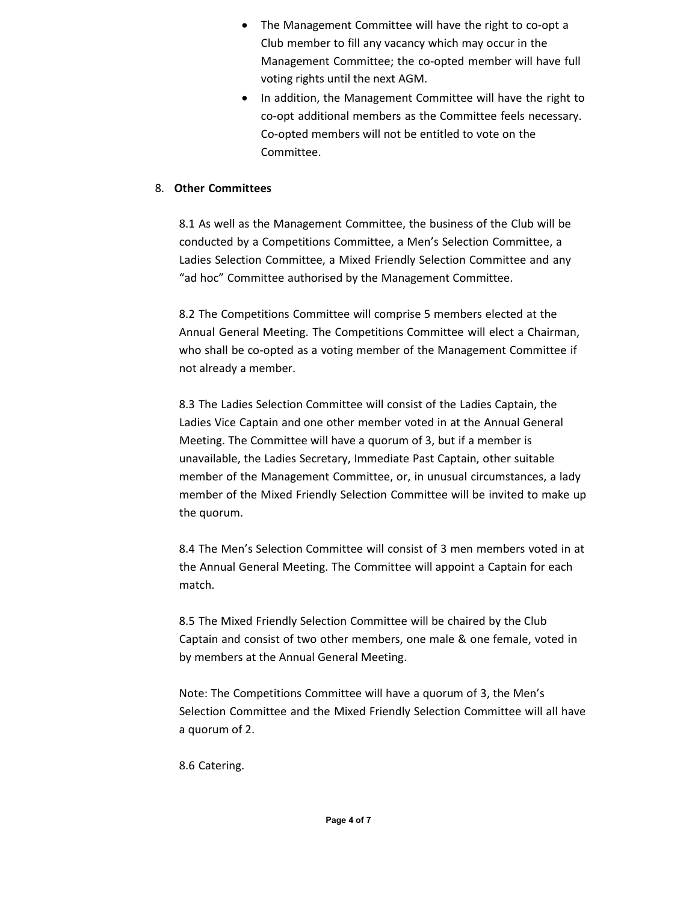- The Management Committee will have the right to co-opt a Club member to fill any vacancy which may occur in the Management Committee; the co-opted member will have full voting rights until the next AGM.
- In addition, the Management Committee will have the right to co-opt additional members as the Committee feels necessary. Co-opted members will not be entitled to vote on the Committee.

# 8. **Other Committees**

8.1 As well as the Management Committee, the business of the Club will be conducted by a Competitions Committee, a Men's Selection Committee, a Ladies Selection Committee, a Mixed Friendly Selection Committee and any "ad hoc" Committee authorised by the Management Committee.

8.2 The Competitions Committee will comprise 5 members elected at the Annual General Meeting. The Competitions Committee will elect a Chairman, who shall be co-opted as a voting member of the Management Committee if not already a member.

8.3 The Ladies Selection Committee will consist of the Ladies Captain, the Ladies Vice Captain and one other member voted in at the Annual General Meeting. The Committee will have a quorum of 3, but if a member is unavailable, the Ladies Secretary, Immediate Past Captain, other suitable member of the Management Committee, or, in unusual circumstances, a lady member of the Mixed Friendly Selection Committee will be invited to make up the quorum.

8.4 The Men's Selection Committee will consist of 3 men members voted in at the Annual General Meeting. The Committee will appoint a Captain for each match.

8.5 The Mixed Friendly Selection Committee will be chaired by the Club Captain and consist of two other members, one male & one female, voted in by members at the Annual General Meeting.

Note: The Competitions Committee will have a quorum of 3, the Men's Selection Committee and the Mixed Friendly Selection Committee will all have a quorum of 2.

8.6 Catering.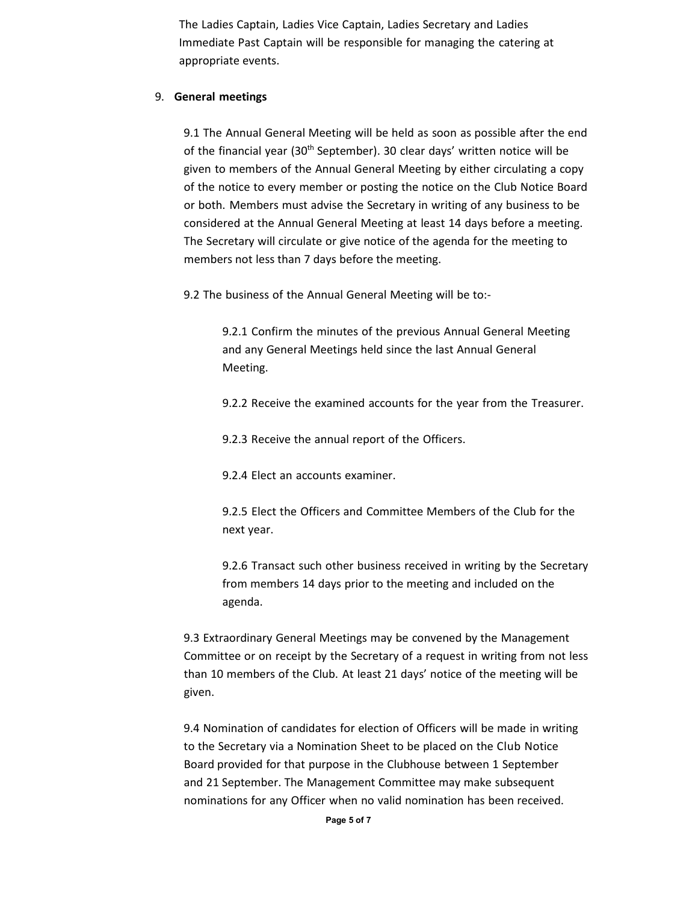The Ladies Captain, Ladies Vice Captain, Ladies Secretary and Ladies Immediate Past Captain will be responsible for managing the catering at appropriate events.

### 9. **General meetings**

9.1 The Annual General Meeting will be held as soon as possible after the end of the financial year (30<sup>th</sup> September). 30 clear days' written notice will be given to members of the Annual General Meeting by either circulating a copy of the notice to every member or posting the notice on the Club Notice Board or both. Members must advise the Secretary in writing of any business to be considered at the Annual General Meeting at least 14 days before a meeting. The Secretary will circulate or give notice of the agenda for the meeting to members not less than 7 days before the meeting.

9.2 The business of the Annual General Meeting will be to:-

9.2.1 Confirm the minutes of the previous Annual General Meeting and any General Meetings held since the last Annual General Meeting.

9.2.2 Receive the examined accounts for the year from the Treasurer.

9.2.3 Receive the annual report of the Officers.

9.2.4 Elect an accounts examiner.

9.2.5 Elect the Officers and Committee Members of the Club for the next year.

9.2.6 Transact such other business received in writing by the Secretary from members 14 days prior to the meeting and included on the agenda.

9.3 Extraordinary General Meetings may be convened by the Management Committee or on receipt by the Secretary of a request in writing from not less than 10 members of the Club. At least 21 days' notice of the meeting will be given.

9.4 Nomination of candidates for election of Officers will be made in writing to the Secretary via a Nomination Sheet to be placed on the Club Notice Board provided for that purpose in the Clubhouse between 1 September and 21 September. The Management Committee may make subsequent nominations for any Officer when no valid nomination has been received.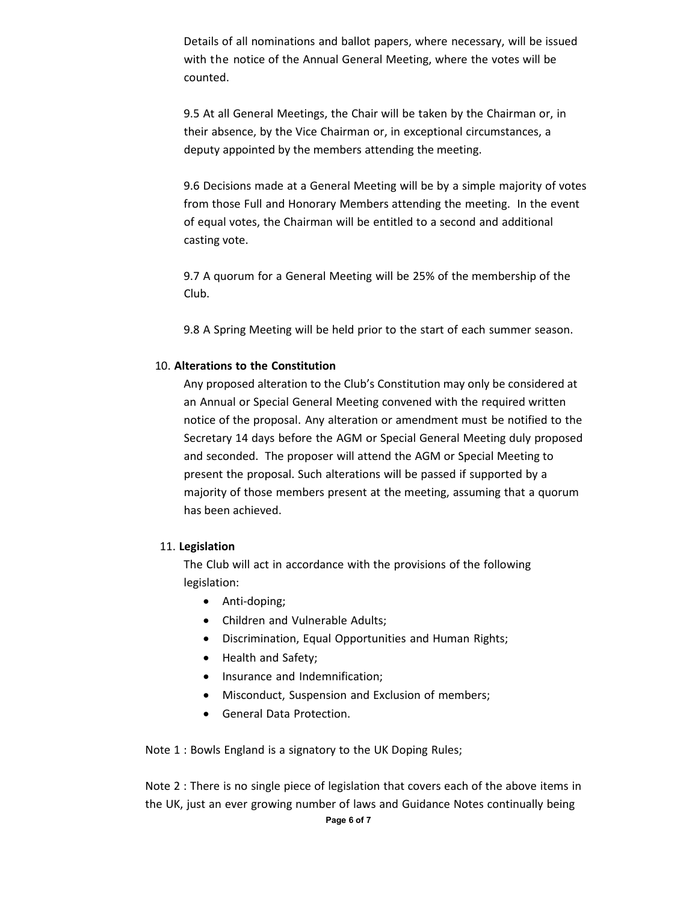Details of all nominations and ballot papers, where necessary, will be issued with the notice of the Annual General Meeting, where the votes will be counted.

9.5 At all General Meetings, the Chair will be taken by the Chairman or, in their absence, by the Vice Chairman or, in exceptional circumstances, a deputy appointed by the members attending the meeting.

9.6 Decisions made at a General Meeting will be by a simple majority of votes from those Full and Honorary Members attending the meeting. In the event of equal votes, the Chairman will be entitled to a second and additional casting vote.

9.7 A quorum for a General Meeting will be 25% of the membership of the Club.

9.8 A Spring Meeting will be held prior to the start of each summer season.

# 10. **Alterations to the Constitution**

Any proposed alteration to the Club's Constitution may only be considered at an Annual or Special General Meeting convened with the required written notice of the proposal. Any alteration or amendment must be notified to the Secretary 14 days before the AGM or Special General Meeting duly proposed and seconded. The proposer will attend the AGM or Special Meeting to present the proposal. Such alterations will be passed if supported by a majority of those members present at the meeting, assuming that a quorum has been achieved.

### 11. **Legislation**

The Club will act in accordance with the provisions of the following legislation:

- Anti-doping;
- Children and Vulnerable Adults;
- Discrimination, Equal Opportunities and Human Rights;
- Health and Safety;
- Insurance and Indemnification;
- Misconduct, Suspension and Exclusion of members;
- General Data Protection.

Note 1 : Bowls England is a signatory to the UK Doping Rules;

Note 2 : There is no single piece of legislation that covers each of the above items in the UK, just an ever growing number of laws and Guidance Notes continually being